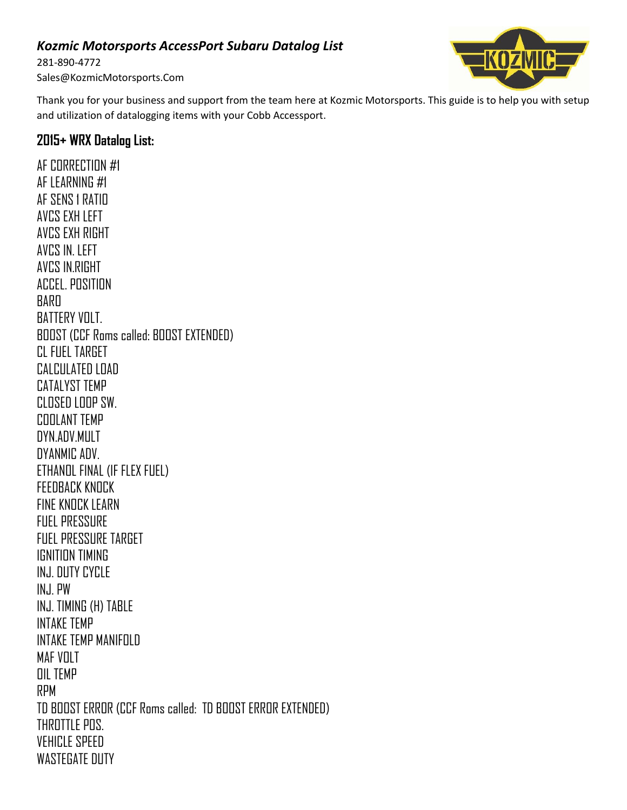## *Kozmic Motorsports AccessPort Subaru Datalog List*

281-890-4772 Sales@KozmicMotorsports.Com ikozmi

Thank you for your business and support from the team here at Kozmic Motorsports. This guide is to help you with setup and utilization of datalogging items with your Cobb Accessport.

## **2015+ WRX Datalog List:**

AF CORRECTION #1 AF LEARNING #1 AF SENS 1 RATIO AVCS EXH LEFT AVCS EXH RIGHT AVCS IN. LEFT AVCS IN.RIGHT ACCEL. POSITION BARO BATTERY VOLT. BOOST (CCF Roms called: BOOST EXTENDED) CL FUEL TARGET CALCULATED LOAD CATALYST TEMP CLOSED LOOP SW. COOLANT TEMP DYN.ADV.MULT DYANMIC ADV. ETHANOL FINAL (IF FLEX FUEL) FEEDBACK KNOCK FINE KNOCK LEARN FUEL PRESSURE FUEL PRESSURE TARGET IGNITION TIMING INJ. DUTY CYCLE INJ. PW INJ. TIMING (H) TABLE INTAKE TEMP INTAKE TEMP MANIFOLD MAF VOLT OIL TEMP RPM TD BOOST ERROR (CCF Roms called: TD BOOST ERROR EXTENDED) THROTTLE POS. VEHICLE SPEED WASTEGATE DUTY